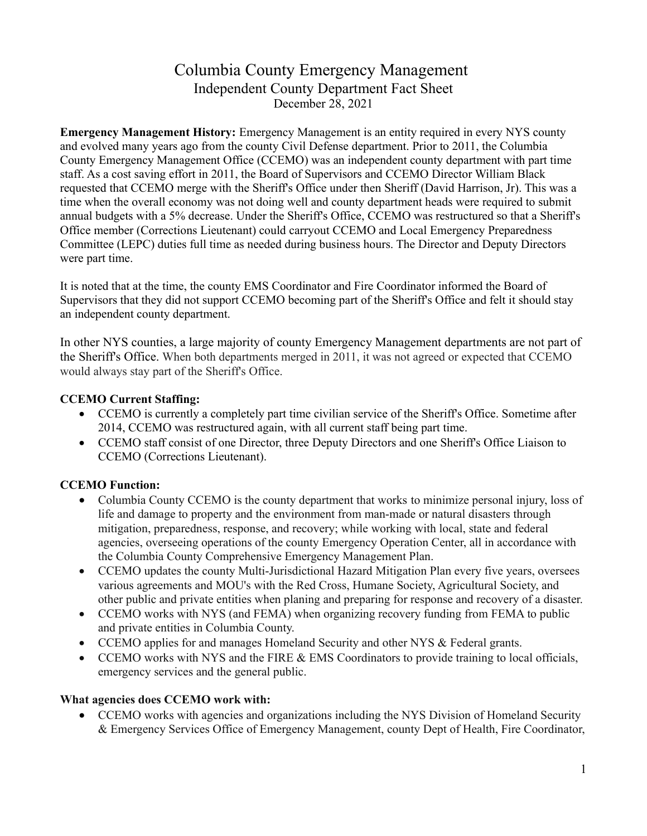# Columbia County Emergency Management Independent County Department Fact Sheet December 28, 2021

**Emergency Management History:** Emergency Management is an entity required in every NYS county and evolved many years ago from the county Civil Defense department. Prior to 2011, the Columbia County Emergency Management Office (CCEMO) was an independent county department with part time staff. As a cost saving effort in 2011, the Board of Supervisors and CCEMO Director William Black requested that CCEMO merge with the Sheriff's Office under then Sheriff (David Harrison, Jr). This was a time when the overall economy was not doing well and county department heads were required to submit annual budgets with a 5% decrease. Under the Sheriff's Office, CCEMO was restructured so that a Sheriff's Office member (Corrections Lieutenant) could carryout CCEMO and Local Emergency Preparedness Committee (LEPC) duties full time as needed during business hours. The Director and Deputy Directors were part time.

It is noted that at the time, the county EMS Coordinator and Fire Coordinator informed the Board of Supervisors that they did not support CCEMO becoming part of the Sheriff's Office and felt it should stay an independent county department.

In other NYS counties, a large majority of county Emergency Management departments are not part of the Sheriff's Office. When both departments merged in 2011, it was not agreed or expected that CCEMO would always stay part of the Sheriff's Office.

## **CCEMO Current Staffing:**

- CCEMO is currently a completely part time civilian service of the Sheriff's Office. Sometime after 2014, CCEMO was restructured again, with all current staff being part time.
- CCEMO staff consist of one Director, three Deputy Directors and one Sheriff's Office Liaison to CCEMO (Corrections Lieutenant).

## **CCEMO Function:**

- Columbia County CCEMO is the county department that works to minimize personal injury, loss of life and damage to property and the environment from man-made or natural disasters through mitigation, preparedness, response, and recovery; while working with local, state and federal agencies, overseeing operations of the county Emergency Operation Center, all in accordance with the Columbia County Comprehensive Emergency Management Plan.
- CCEMO updates the county Multi-Jurisdictional Hazard Mitigation Plan every five years, oversees various agreements and MOU's with the Red Cross, Humane Society, Agricultural Society, and other public and private entities when planing and preparing for response and recovery of a disaster.
- CCEMO works with NYS (and FEMA) when organizing recovery funding from FEMA to public and private entities in Columbia County.
- CCEMO applies for and manages Homeland Security and other NYS & Federal grants.
- CCEMO works with NYS and the FIRE & EMS Coordinators to provide training to local officials, emergency services and the general public.

#### **What agencies does CCEMO work with:**

• CCEMO works with agencies and organizations including the NYS Division of Homeland Security & Emergency Services Office of Emergency Management, county Dept of Health, Fire Coordinator,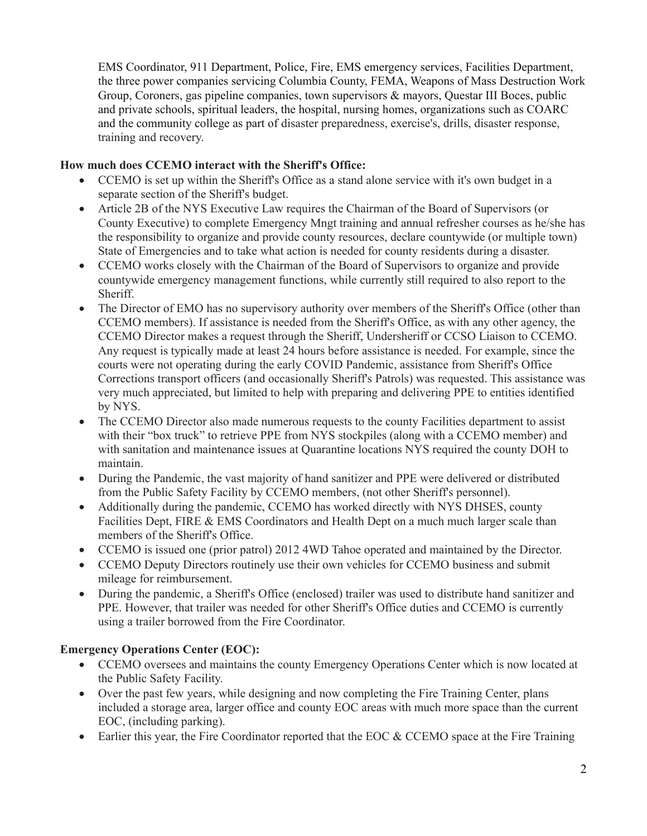EMS Coordinator, 911 Department, Police, Fire, EMS emergency services, Facilities Department, the three power companies servicing Columbia County, FEMA, Weapons of Mass Destruction Work Group, Coroners, gas pipeline companies, town supervisors & mayors, Questar III Boces, public and private schools, spiritual leaders, the hospital, nursing homes, organizations such as COARC and the community college as part of disaster preparedness, exercise's, drills, disaster response, training and recovery.

#### **How much does CCEMO interact with the Sheriff's Office:**

- CCEMO is set up within the Sheriff's Office as a stand alone service with it's own budget in a separate section of the Sheriff's budget.
- Article 2B of the NYS Executive Law requires the Chairman of the Board of Supervisors (or County Executive) to complete Emergency Mngt training and annual refresher courses as he/she has the responsibility to organize and provide county resources, declare countywide (or multiple town) State of Emergencies and to take what action is needed for county residents during a disaster.
- CCEMO works closely with the Chairman of the Board of Supervisors to organize and provide countywide emergency management functions, while currently still required to also report to the Sheriff.
- The Director of EMO has no supervisory authority over members of the Sheriff's Office (other than CCEMO members). If assistance is needed from the Sheriff's Office, as with any other agency, the CCEMO Director makes a request through the Sheriff, Undersheriff or CCSO Liaison to CCEMO. Any request is typically made at least 24 hours before assistance is needed. For example, since the courts were not operating during the early COVID Pandemic, assistance from Sheriff's Office Corrections transport officers (and occasionally Sheriff's Patrols) was requested. This assistance was very much appreciated, but limited to help with preparing and delivering PPE to entities identified by NYS.
- The CCEMO Director also made numerous requests to the county Facilities department to assist with their "box truck" to retrieve PPE from NYS stockpiles (along with a CCEMO member) and with sanitation and maintenance issues at Quarantine locations NYS required the county DOH to maintain.
- During the Pandemic, the vast majority of hand sanitizer and PPE were delivered or distributed from the Public Safety Facility by CCEMO members, (not other Sheriff's personnel).
- Additionally during the pandemic, CCEMO has worked directly with NYS DHSES, county Facilities Dept, FIRE & EMS Coordinators and Health Dept on a much much larger scale than members of the Sheriff's Office.
- CCEMO is issued one (prior patrol) 2012 4WD Tahoe operated and maintained by the Director.
- CCEMO Deputy Directors routinely use their own vehicles for CCEMO business and submit mileage for reimbursement.
- During the pandemic, a Sheriff's Office (enclosed) trailer was used to distribute hand sanitizer and PPE. However, that trailer was needed for other Sheriff's Office duties and CCEMO is currently using a trailer borrowed from the Fire Coordinator.

## **Emergency Operations Center (EOC):**

- CCEMO oversees and maintains the county Emergency Operations Center which is now located at the Public Safety Facility.
- Over the past few years, while designing and now completing the Fire Training Center, plans included a storage area, larger office and county EOC areas with much more space than the current EOC, (including parking).
- Earlier this year, the Fire Coordinator reported that the EOC & CCEMO space at the Fire Training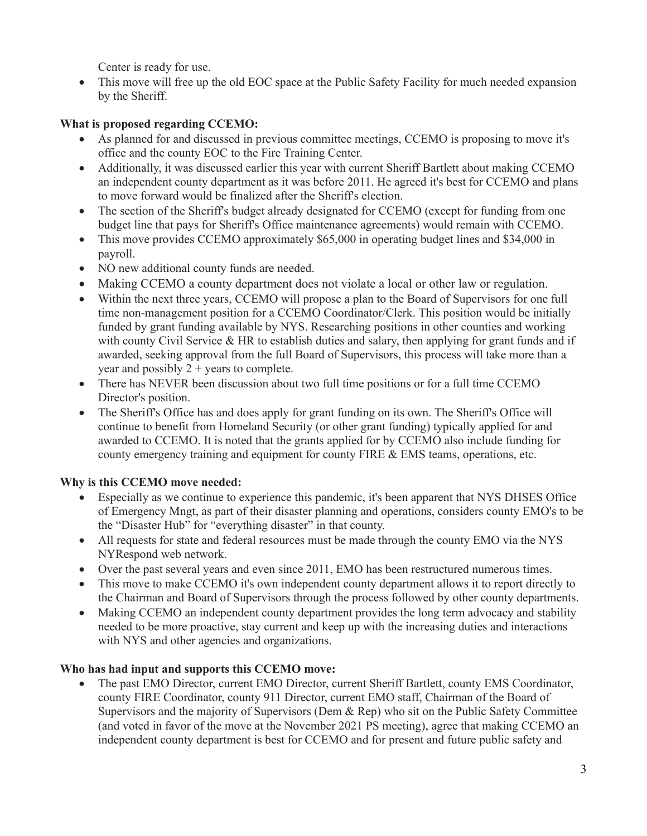Center is ready for use.

• This move will free up the old EOC space at the Public Safety Facility for much needed expansion by the Sheriff.

## **What is proposed regarding CCEMO:**

- As planned for and discussed in previous committee meetings, CCEMO is proposing to move it's office and the county EOC to the Fire Training Center.
- Additionally, it was discussed earlier this year with current Sheriff Bartlett about making CCEMO an independent county department as it was before 2011. He agreed it's best for CCEMO and plans to move forward would be finalized after the Sheriff's election.
- The section of the Sheriff's budget already designated for CCEMO (except for funding from one budget line that pays for Sheriff's Office maintenance agreements) would remain with CCEMO.
- This move provides CCEMO approximately \$65,000 in operating budget lines and \$34,000 in payroll.
- NO new additional county funds are needed.
- Making CCEMO a county department does not violate a local or other law or regulation.
- Within the next three years, CCEMO will propose a plan to the Board of Supervisors for one full time non-management position for a CCEMO Coordinator/Clerk. This position would be initially funded by grant funding available by NYS. Researching positions in other counties and working with county Civil Service & HR to establish duties and salary, then applying for grant funds and if awarded, seeking approval from the full Board of Supervisors, this process will take more than a year and possibly  $2 + \text{years}$  to complete.
- There has NEVER been discussion about two full time positions or for a full time CCEMO Director's position.
- The Sheriff's Office has and does apply for grant funding on its own. The Sheriff's Office will continue to benefit from Homeland Security (or other grant funding) typically applied for and awarded to CCEMO. It is noted that the grants applied for by CCEMO also include funding for county emergency training and equipment for county FIRE & EMS teams, operations, etc.

## **Why is this CCEMO move needed:**

- Especially as we continue to experience this pandemic, it's been apparent that NYS DHSES Office of Emergency Mngt, as part of their disaster planning and operations, considers county EMO's to be the "Disaster Hub" for "everything disaster" in that county.
- All requests for state and federal resources must be made through the county EMO via the NYS NYRespond web network.
- Over the past several years and even since 2011, EMO has been restructured numerous times.
- This move to make CCEMO it's own independent county department allows it to report directly to the Chairman and Board of Supervisors through the process followed by other county departments.
- Making CCEMO an independent county department provides the long term advocacy and stability needed to be more proactive, stay current and keep up with the increasing duties and interactions with NYS and other agencies and organizations.

## **Who has had input and supports this CCEMO move:**

• The past EMO Director, current EMO Director, current Sheriff Bartlett, county EMS Coordinator, county FIRE Coordinator, county 911 Director, current EMO staff, Chairman of the Board of Supervisors and the majority of Supervisors (Dem & Rep) who sit on the Public Safety Committee (and voted in favor of the move at the November 2021 PS meeting), agree that making CCEMO an independent county department is best for CCEMO and for present and future public safety and